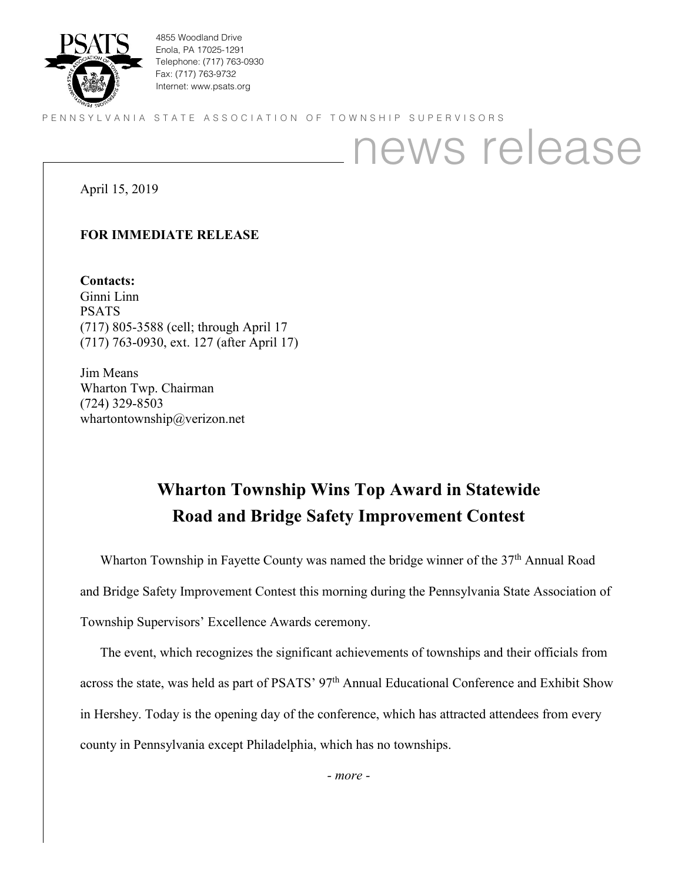

4855 Woodland Drive Enola, PA 17025-1291 Telephone: (717) 763-0930 Fax: (717) 763-9732 Internet: www.psats.org

PENNSYLVANIA STATE ASSOCIATION OF TOWNSHIP SUPERVISORS

## news release

April 15, 2019

## **FOR IMMEDIATE RELEASE**

**Contacts:** Ginni Linn PSATS (717) 805-3588 (cell; through April 17 (717) 763-0930, ext. 127 (after April 17)

Jim Means Wharton Twp. Chairman (724) 329-8503 whartontownship@verizon.net

## **Wharton Township Wins Top Award in Statewide Road and Bridge Safety Improvement Contest**

Wharton Township in Fayette County was named the bridge winner of the  $37<sup>th</sup>$  Annual Road and Bridge Safety Improvement Contest this morning during the Pennsylvania State Association of Township Supervisors' Excellence Awards ceremony.

The event, which recognizes the significant achievements of townships and their officials from across the state, was held as part of PSATS' 97<sup>th</sup> Annual Educational Conference and Exhibit Show in Hershey. Today is the opening day of the conference, which has attracted attendees from every county in Pennsylvania except Philadelphia, which has no townships.

*- more -*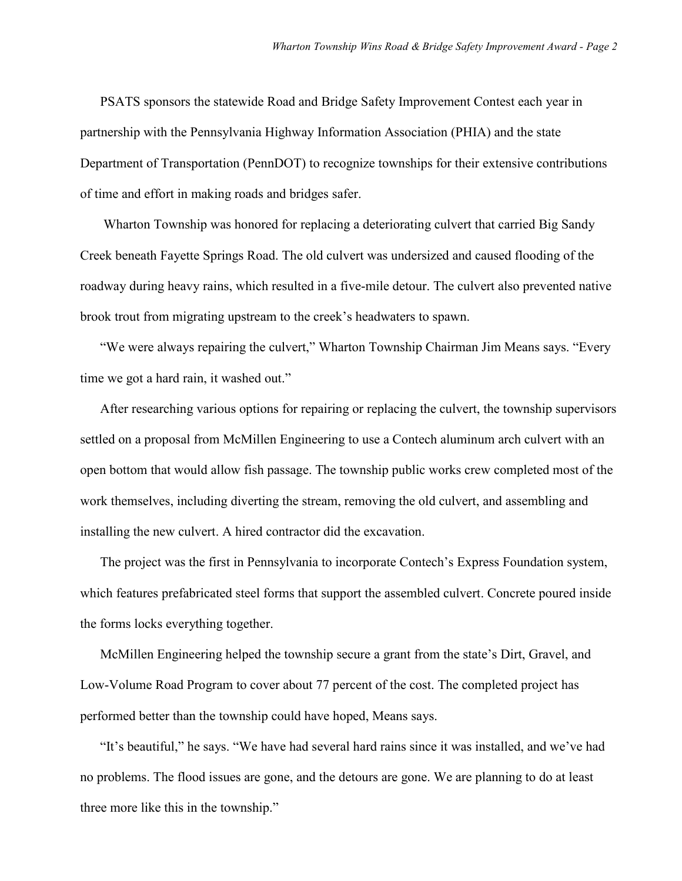PSATS sponsors the statewide Road and Bridge Safety Improvement Contest each year in partnership with the Pennsylvania Highway Information Association (PHIA) and the state Department of Transportation (PennDOT) to recognize townships for their extensive contributions of time and effort in making roads and bridges safer.

Wharton Township was honored for replacing a deteriorating culvert that carried Big Sandy Creek beneath Fayette Springs Road. The old culvert was undersized and caused flooding of the roadway during heavy rains, which resulted in a five-mile detour. The culvert also prevented native brook trout from migrating upstream to the creek's headwaters to spawn.

"We were always repairing the culvert," Wharton Township Chairman Jim Means says. "Every time we got a hard rain, it washed out."

After researching various options for repairing or replacing the culvert, the township supervisors settled on a proposal from McMillen Engineering to use a Contech aluminum arch culvert with an open bottom that would allow fish passage. The township public works crew completed most of the work themselves, including diverting the stream, removing the old culvert, and assembling and installing the new culvert. A hired contractor did the excavation.

The project was the first in Pennsylvania to incorporate Contech's Express Foundation system, which features prefabricated steel forms that support the assembled culvert. Concrete poured inside the forms locks everything together.

McMillen Engineering helped the township secure a grant from the state's Dirt, Gravel, and Low-Volume Road Program to cover about 77 percent of the cost. The completed project has performed better than the township could have hoped, Means says.

"It's beautiful," he says. "We have had several hard rains since it was installed, and we've had no problems. The flood issues are gone, and the detours are gone. We are planning to do at least three more like this in the township."